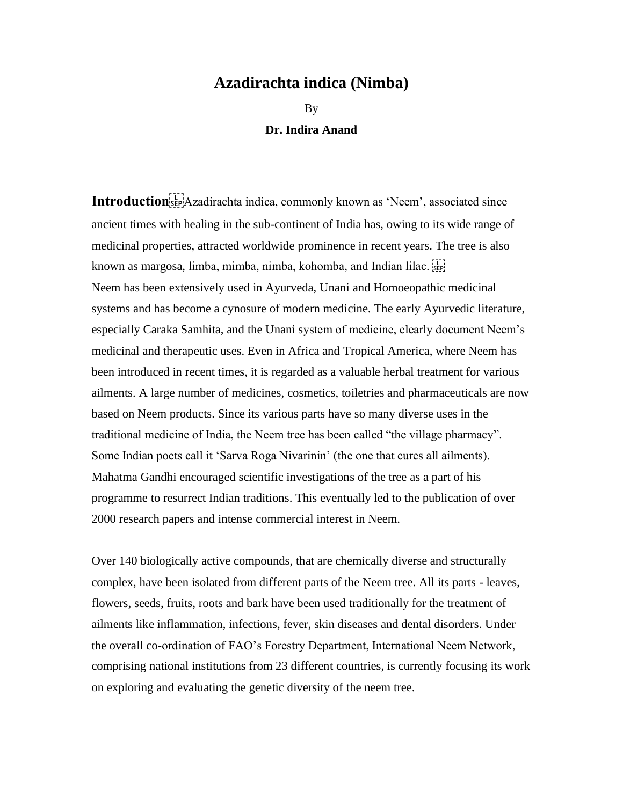# **Azadirachta indica (Nimba)**

By

**Dr. Indira Anand**

**Introduction**<sub>seri</sub>Azadirachta indica, commonly known as 'Neem', associated since ancient times with healing in the sub-continent of India has, owing to its wide range of medicinal properties, attracted worldwide prominence in recent years. The tree is also known as margosa, limba, mimba, nimba, kohomba, and Indian lilac. Neem has been extensively used in Ayurveda, Unani and Homoeopathic medicinal systems and has become a cynosure of modern medicine. The early Ayurvedic literature, especially Caraka Samhita, and the Unani system of medicine, clearly document Neem's medicinal and therapeutic uses. Even in Africa and Tropical America, where Neem has been introduced in recent times, it is regarded as a valuable herbal treatment for various ailments. A large number of medicines, cosmetics, toiletries and pharmaceuticals are now based on Neem products. Since its various parts have so many diverse uses in the traditional medicine of India, the Neem tree has been called "the village pharmacy". Some Indian poets call it 'Sarva Roga Nivarinin' (the one that cures all ailments). Mahatma Gandhi encouraged scientific investigations of the tree as a part of his programme to resurrect Indian traditions. This eventually led to the publication of over 2000 research papers and intense commercial interest in Neem.

Over 140 biologically active compounds, that are chemically diverse and structurally complex, have been isolated from different parts of the Neem tree. All its parts - leaves, flowers, seeds, fruits, roots and bark have been used traditionally for the treatment of ailments like inflammation, infections, fever, skin diseases and dental disorders. Under the overall co-ordination of FAO's Forestry Department, International Neem Network, comprising national institutions from 23 different countries, is currently focusing its work on exploring and evaluating the genetic diversity of the neem tree.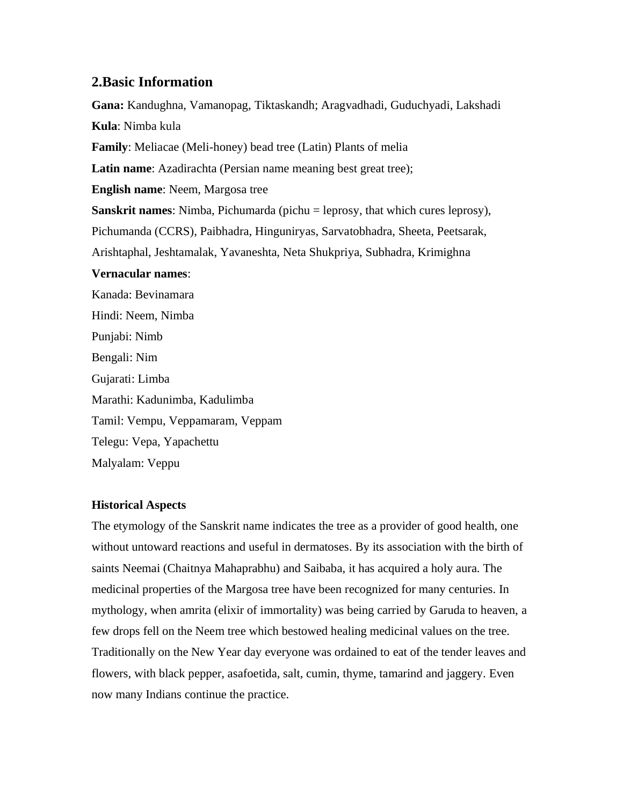## **2.Basic Information**

**Gana:** Kandughna, Vamanopag, Tiktaskandh; Aragvadhadi, Guduchyadi, Lakshadi **Kula**: Nimba kula **Family**: Meliacae (Meli-honey) bead tree (Latin) Plants of melia **Latin name**: Azadirachta (Persian name meaning best great tree); **English name**: Neem, Margosa tree **Sanskrit names**: Nimba, Pichumarda (pichu = leprosy, that which cures leprosy), Pichumanda (CCRS), Paibhadra, Hinguniryas, Sarvatobhadra, Sheeta, Peetsarak, Arishtaphal, Jeshtamalak, Yavaneshta, Neta Shukpriya, Subhadra, Krimighna **Vernacular names**: Kanada: Bevinamara Hindi: Neem, Nimba Punjabi: Nimb Bengali: Nim Gujarati: Limba Marathi: Kadunimba, Kadulimba Tamil: Vempu, Veppamaram, Veppam Telegu: Vepa, Yapachettu Malyalam: Veppu

## **Historical Aspects**

The etymology of the Sanskrit name indicates the tree as a provider of good health, one without untoward reactions and useful in dermatoses. By its association with the birth of saints Neemai (Chaitnya Mahaprabhu) and Saibaba, it has acquired a holy aura. The medicinal properties of the Margosa tree have been recognized for many centuries. In mythology, when amrita (elixir of immortality) was being carried by Garuda to heaven, a few drops fell on the Neem tree which bestowed healing medicinal values on the tree. Traditionally on the New Year day everyone was ordained to eat of the tender leaves and flowers, with black pepper, asafoetida, salt, cumin, thyme, tamarind and jaggery. Even now many Indians continue the practice.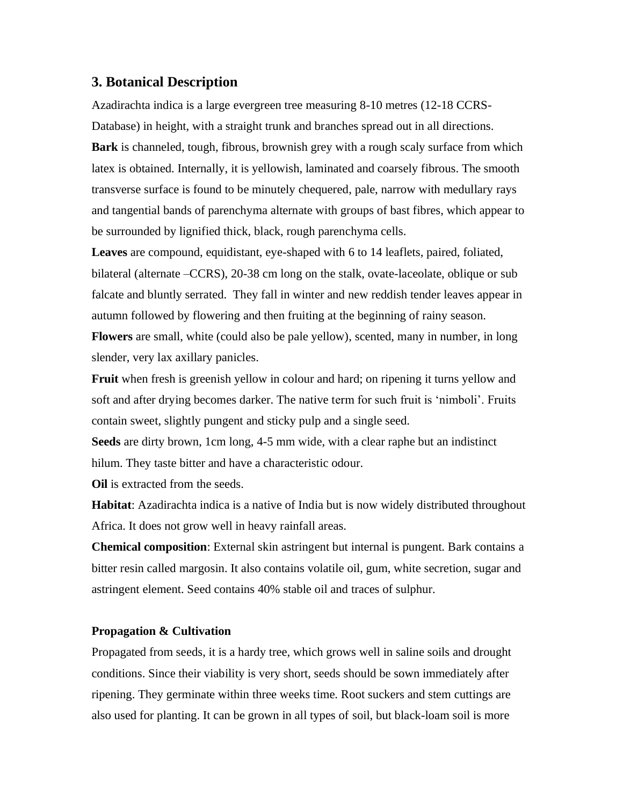### **3. Botanical Description**

Azadirachta indica is a large evergreen tree measuring 8-10 metres (12-18 CCRS-Database) in height, with a straight trunk and branches spread out in all directions. **Bark** is channeled, tough, fibrous, brownish grey with a rough scaly surface from which latex is obtained. Internally, it is yellowish, laminated and coarsely fibrous. The smooth transverse surface is found to be minutely chequered, pale, narrow with medullary rays and tangential bands of parenchyma alternate with groups of bast fibres, which appear to be surrounded by lignified thick, black, rough parenchyma cells.

**Leaves** are compound, equidistant, eye-shaped with 6 to 14 leaflets, paired, foliated, bilateral (alternate –CCRS), 20-38 cm long on the stalk, ovate-laceolate, oblique or sub falcate and bluntly serrated. They fall in winter and new reddish tender leaves appear in autumn followed by flowering and then fruiting at the beginning of rainy season.

**Flowers** are small, white (could also be pale yellow), scented, many in number, in long slender, very lax axillary panicles.

**Fruit** when fresh is greenish yellow in colour and hard; on ripening it turns yellow and soft and after drying becomes darker. The native term for such fruit is 'nimboli'. Fruits contain sweet, slightly pungent and sticky pulp and a single seed.

**Seeds** are dirty brown, 1cm long, 4-5 mm wide, with a clear raphe but an indistinct hilum. They taste bitter and have a characteristic odour.

**Oil** is extracted from the seeds.

**Habitat**: Azadirachta indica is a native of India but is now widely distributed throughout Africa. It does not grow well in heavy rainfall areas.

**Chemical composition**: External skin astringent but internal is pungent. Bark contains a bitter resin called margosin. It also contains volatile oil, gum, white secretion, sugar and astringent element. Seed contains 40% stable oil and traces of sulphur.

### **Propagation & Cultivation**

Propagated from seeds, it is a hardy tree, which grows well in saline soils and drought conditions. Since their viability is very short, seeds should be sown immediately after ripening. They germinate within three weeks time. Root suckers and stem cuttings are also used for planting. It can be grown in all types of soil, but black-loam soil is more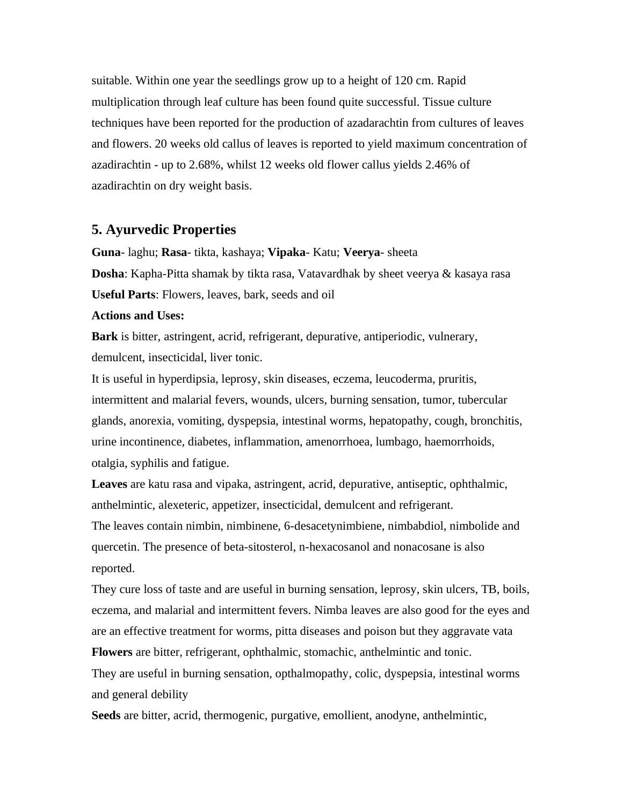suitable. Within one year the seedlings grow up to a height of 120 cm. Rapid multiplication through leaf culture has been found quite successful. Tissue culture techniques have been reported for the production of azadarachtin from cultures of leaves and flowers. 20 weeks old callus of leaves is reported to yield maximum concentration of azadirachtin - up to 2.68%, whilst 12 weeks old flower callus yields 2.46% of azadirachtin on dry weight basis.

### **5. Ayurvedic Properties**

**Guna**- laghu; **Rasa**- tikta, kashaya; **Vipaka**- Katu; **Veerya**- sheeta

**Dosha**: Kapha-Pitta shamak by tikta rasa, Vatavardhak by sheet veerya & kasaya rasa **Useful Parts**: Flowers, leaves, bark, seeds and oil

#### **Actions and Uses:**

**Bark** is bitter, astringent, acrid, refrigerant, depurative, antiperiodic, vulnerary, demulcent, insecticidal, liver tonic.

It is useful in hyperdipsia, leprosy, skin diseases, eczema, leucoderma, pruritis, intermittent and malarial fevers, wounds, ulcers, burning sensation, tumor, tubercular glands, anorexia, vomiting, dyspepsia, intestinal worms, hepatopathy, cough, bronchitis, urine incontinence, diabetes, inflammation, amenorrhoea, lumbago, haemorrhoids, otalgia, syphilis and fatigue.

**Leaves** are katu rasa and vipaka, astringent, acrid, depurative, antiseptic, ophthalmic, anthelmintic, alexeteric, appetizer, insecticidal, demulcent and refrigerant. The leaves contain nimbin, nimbinene, 6-desacetynimbiene, nimbabdiol, nimbolide and quercetin. The presence of beta-sitosterol, n-hexacosanol and nonacosane is also reported.

They cure loss of taste and are useful in burning sensation, leprosy, skin ulcers, TB, boils, eczema, and malarial and intermittent fevers. Nimba leaves are also good for the eyes and are an effective treatment for worms, pitta diseases and poison but they aggravate vata **Flowers** are bitter, refrigerant, ophthalmic, stomachic, anthelmintic and tonic.

They are useful in burning sensation, opthalmopathy, colic, dyspepsia, intestinal worms and general debility

**Seeds** are bitter, acrid, thermogenic, purgative, emollient, anodyne, anthelmintic,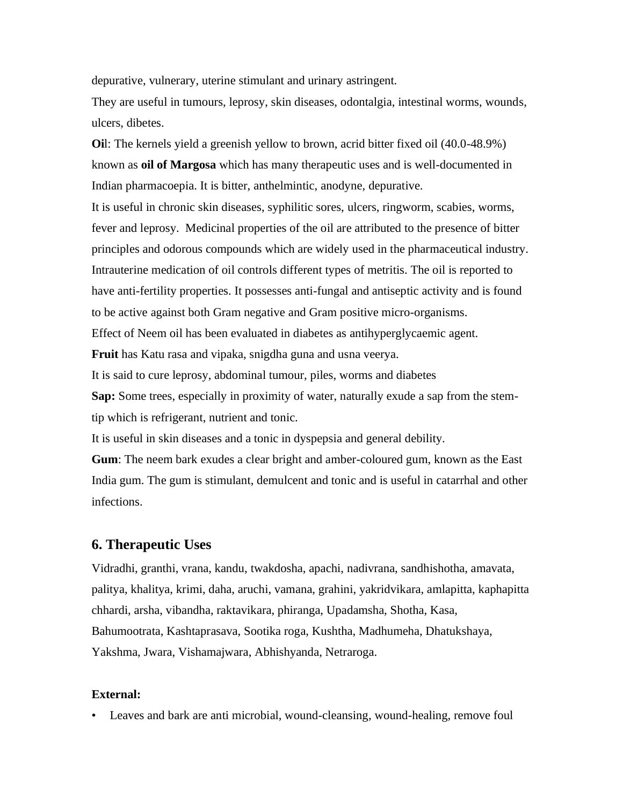depurative, vulnerary, uterine stimulant and urinary astringent.

They are useful in tumours, leprosy, skin diseases, odontalgia, intestinal worms, wounds, ulcers, dibetes.

**Oi**l: The kernels yield a greenish yellow to brown, acrid bitter fixed oil (40.0-48.9%) known as **oil of Margosa** which has many therapeutic uses and is well-documented in Indian pharmacoepia. It is bitter, anthelmintic, anodyne, depurative.

It is useful in chronic skin diseases, syphilitic sores, ulcers, ringworm, scabies, worms, fever and leprosy. Medicinal properties of the oil are attributed to the presence of bitter principles and odorous compounds which are widely used in the pharmaceutical industry. Intrauterine medication of oil controls different types of metritis. The oil is reported to have anti-fertility properties. It possesses anti-fungal and antiseptic activity and is found to be active against both Gram negative and Gram positive micro-organisms. Effect of Neem oil has been evaluated in diabetes as antihyperglycaemic agent.

**Fruit** has Katu rasa and vipaka, snigdha guna and usna veerya.

It is said to cure leprosy, abdominal tumour, piles, worms and diabetes

**Sap:** Some trees, especially in proximity of water, naturally exude a sap from the stemtip which is refrigerant, nutrient and tonic.

It is useful in skin diseases and a tonic in dyspepsia and general debility.

**Gum**: The neem bark exudes a clear bright and amber-coloured gum, known as the East India gum. The gum is stimulant, demulcent and tonic and is useful in catarrhal and other infections.

### **6. Therapeutic Uses**

Vidradhi, granthi, vrana, kandu, twakdosha, apachi, nadivrana, sandhishotha, amavata, palitya, khalitya, krimi, daha, aruchi, vamana, grahini, yakridvikara, amlapitta, kaphapitta chhardi, arsha, vibandha, raktavikara, phiranga, Upadamsha, Shotha, Kasa, Bahumootrata, Kashtaprasava, Sootika roga, Kushtha, Madhumeha, Dhatukshaya, Yakshma, Jwara, Vishamajwara, Abhishyanda, Netraroga.

#### **External:**

• Leaves and bark are anti microbial, wound-cleansing, wound-healing, remove foul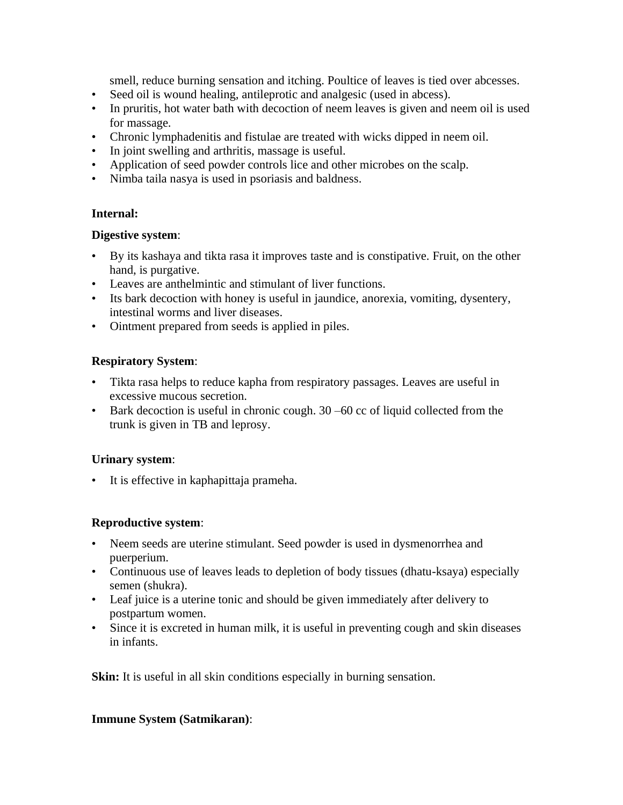smell, reduce burning sensation and itching. Poultice of leaves is tied over abcesses.

- Seed oil is wound healing, antileprotic and analgesic (used in abcess).
- In pruritis, hot water bath with decoction of neem leaves is given and neem oil is used for massage.
- Chronic lymphadenitis and fistulae are treated with wicks dipped in neem oil.
- In joint swelling and arthritis, massage is useful.
- Application of seed powder controls lice and other microbes on the scalp.
- Nimba taila nasya is used in psoriasis and baldness.

## **Internal:**

### **Digestive system**:

- By its kashaya and tikta rasa it improves taste and is constipative. Fruit, on the other hand, is purgative.
- Leaves are anthelmintic and stimulant of liver functions.
- Its bark decoction with honey is useful in jaundice, anorexia, vomiting, dysentery, intestinal worms and liver diseases.
- Ointment prepared from seeds is applied in piles.

## **Respiratory System**:

- Tikta rasa helps to reduce kapha from respiratory passages. Leaves are useful in excessive mucous secretion.
- Bark decoction is useful in chronic cough. 30 –60 cc of liquid collected from the trunk is given in TB and leprosy.

## **Urinary system**:

• It is effective in kaphapittaja prameha.

## **Reproductive system**:

- Neem seeds are uterine stimulant. Seed powder is used in dysmenorrhea and puerperium.
- Continuous use of leaves leads to depletion of body tissues (dhatu-ksaya) especially semen (shukra).
- Leaf juice is a uterine tonic and should be given immediately after delivery to postpartum women.
- Since it is excreted in human milk, it is useful in preventing cough and skin diseases in infants.

**Skin:** It is useful in all skin conditions especially in burning sensation.

## **Immune System (Satmikaran)**: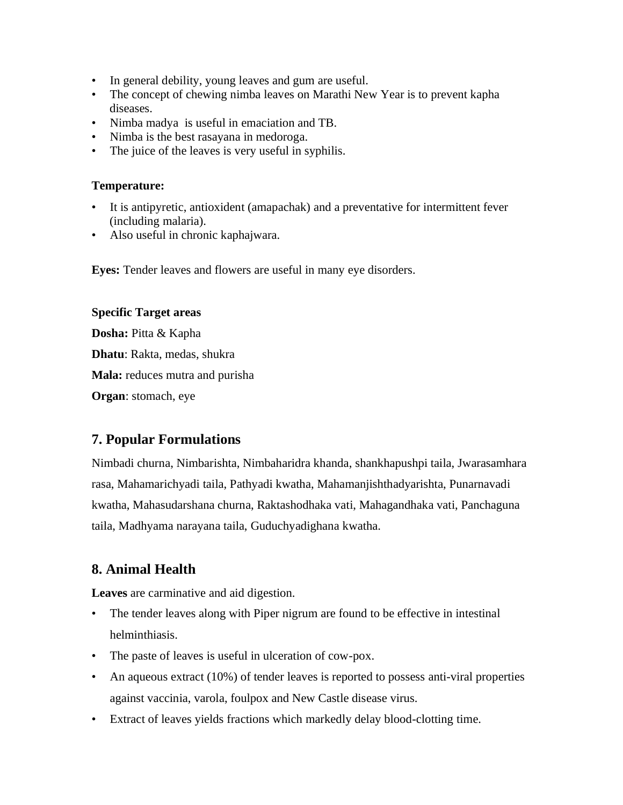- In general debility, young leaves and gum are useful.
- The concept of chewing nimba leaves on Marathi New Year is to prevent kapha diseases.
- Nimba madya is useful in emaciation and TB.
- Nimba is the best rasayana in medoroga.
- The juice of the leaves is very useful in syphilis.

### **Temperature:**

- It is antipyretic, antioxident (amapachak) and a preventative for intermittent fever (including malaria).
- Also useful in chronic kaphajwara.

**Eyes:** Tender leaves and flowers are useful in many eye disorders.

### **Specific Target areas**

**Dosha:** Pitta & Kapha **Dhatu**: Rakta, medas, shukra

**Mala:** reduces mutra and purisha

**Organ**: stomach, eye

# **7. Popular Formulations**

Nimbadi churna, Nimbarishta, Nimbaharidra khanda, shankhapushpi taila, Jwarasamhara rasa, Mahamarichyadi taila, Pathyadi kwatha, Mahamanjishthadyarishta, Punarnavadi kwatha, Mahasudarshana churna, Raktashodhaka vati, Mahagandhaka vati, Panchaguna taila, Madhyama narayana taila, Guduchyadighana kwatha.

# **8. Animal Health**

**Leaves** are carminative and aid digestion.

- The tender leaves along with Piper nigrum are found to be effective in intestinal helminthiasis.
- The paste of leaves is useful in ulceration of cow-pox.
- An aqueous extract (10%) of tender leaves is reported to possess anti-viral properties against vaccinia, varola, foulpox and New Castle disease virus.
- Extract of leaves yields fractions which markedly delay blood-clotting time.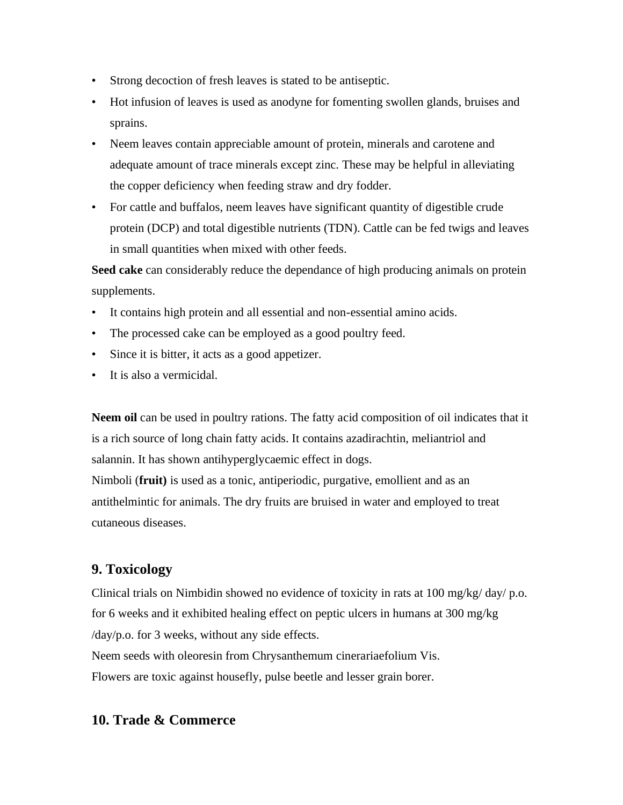- Strong decoction of fresh leaves is stated to be antiseptic.
- Hot infusion of leaves is used as anodyne for fomenting swollen glands, bruises and sprains.
- Neem leaves contain appreciable amount of protein, minerals and carotene and adequate amount of trace minerals except zinc. These may be helpful in alleviating the copper deficiency when feeding straw and dry fodder.
- For cattle and buffalos, neem leaves have significant quantity of digestible crude protein (DCP) and total digestible nutrients (TDN). Cattle can be fed twigs and leaves in small quantities when mixed with other feeds.

**Seed cake** can considerably reduce the dependance of high producing animals on protein supplements.

- It contains high protein and all essential and non-essential amino acids.
- The processed cake can be employed as a good poultry feed.
- Since it is bitter, it acts as a good appetizer.
- It is also a vermicidal.

**Neem oil** can be used in poultry rations. The fatty acid composition of oil indicates that it is a rich source of long chain fatty acids. It contains azadirachtin, meliantriol and salannin. It has shown antihyperglycaemic effect in dogs.

Nimboli (**fruit)** is used as a tonic, antiperiodic, purgative, emollient and as an antithelmintic for animals. The dry fruits are bruised in water and employed to treat cutaneous diseases.

# **9. Toxicology**

Clinical trials on Nimbidin showed no evidence of toxicity in rats at 100 mg/kg/ day/ p.o. for 6 weeks and it exhibited healing effect on peptic ulcers in humans at 300 mg/kg /day/p.o. for 3 weeks, without any side effects.

Neem seeds with oleoresin from Chrysanthemum cinerariaefolium Vis. Flowers are toxic against housefly, pulse beetle and lesser grain borer.

# **10. Trade & Commerce**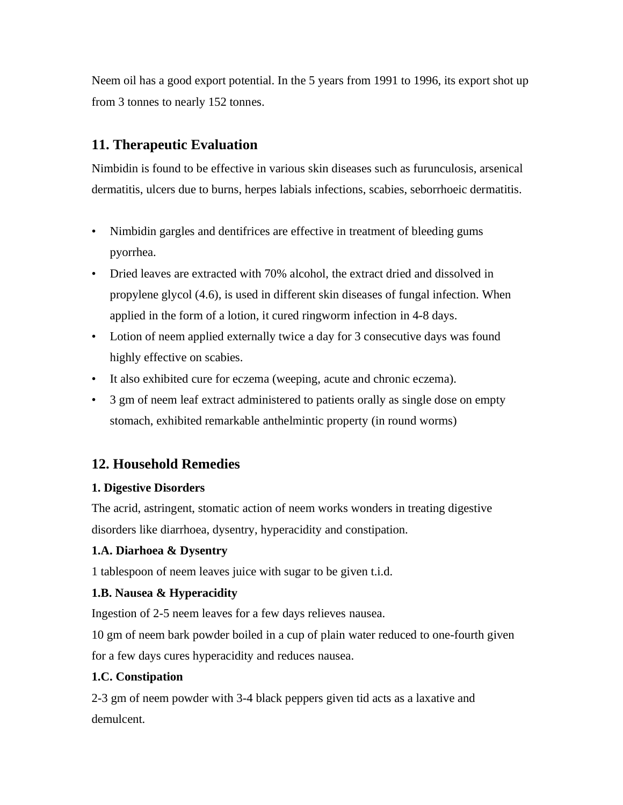Neem oil has a good export potential. In the 5 years from 1991 to 1996, its export shot up from 3 tonnes to nearly 152 tonnes.

# **11. Therapeutic Evaluation**

Nimbidin is found to be effective in various skin diseases such as furunculosis, arsenical dermatitis, ulcers due to burns, herpes labials infections, scabies, seborrhoeic dermatitis.

- Nimbidin gargles and dentifrices are effective in treatment of bleeding gums pyorrhea.
- Dried leaves are extracted with 70% alcohol, the extract dried and dissolved in propylene glycol (4.6), is used in different skin diseases of fungal infection. When applied in the form of a lotion, it cured ringworm infection in 4-8 days.
- Lotion of neem applied externally twice a day for 3 consecutive days was found highly effective on scabies.
- It also exhibited cure for eczema (weeping, acute and chronic eczema).
- 3 gm of neem leaf extract administered to patients orally as single dose on empty stomach, exhibited remarkable anthelmintic property (in round worms)

# **12. Household Remedies**

## **1. Digestive Disorders**

The acrid, astringent, stomatic action of neem works wonders in treating digestive disorders like diarrhoea, dysentry, hyperacidity and constipation.

## **1.A. Diarhoea & Dysentry**

1 tablespoon of neem leaves juice with sugar to be given t.i.d.

## **1.B. Nausea & Hyperacidity**

Ingestion of 2-5 neem leaves for a few days relieves nausea.

10 gm of neem bark powder boiled in a cup of plain water reduced to one-fourth given for a few days cures hyperacidity and reduces nausea.

## **1.C. Constipation**

2-3 gm of neem powder with 3-4 black peppers given tid acts as a laxative and demulcent.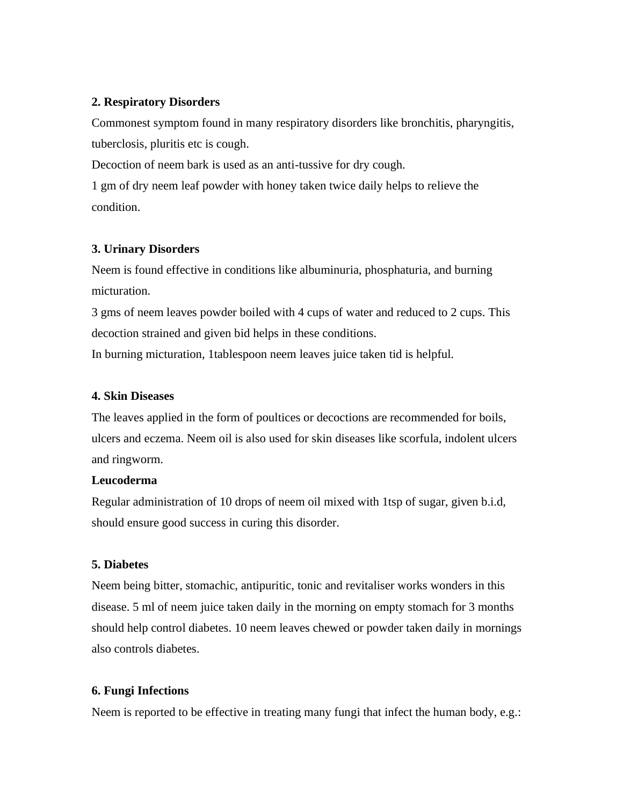### **2. Respiratory Disorders**

Commonest symptom found in many respiratory disorders like bronchitis, pharyngitis, tuberclosis, pluritis etc is cough.

Decoction of neem bark is used as an anti-tussive for dry cough.

1 gm of dry neem leaf powder with honey taken twice daily helps to relieve the condition.

## **3. Urinary Disorders**

Neem is found effective in conditions like albuminuria, phosphaturia, and burning micturation.

3 gms of neem leaves powder boiled with 4 cups of water and reduced to 2 cups. This decoction strained and given bid helps in these conditions.

In burning micturation, 1tablespoon neem leaves juice taken tid is helpful.

## **4. Skin Diseases**

The leaves applied in the form of poultices or decoctions are recommended for boils, ulcers and eczema. Neem oil is also used for skin diseases like scorfula, indolent ulcers and ringworm.

## **Leucoderma**

Regular administration of 10 drops of neem oil mixed with 1tsp of sugar, given b.i.d, should ensure good success in curing this disorder.

## **5. Diabetes**

Neem being bitter, stomachic, antipuritic, tonic and revitaliser works wonders in this disease. 5 ml of neem juice taken daily in the morning on empty stomach for 3 months should help control diabetes. 10 neem leaves chewed or powder taken daily in mornings also controls diabetes.

## **6. Fungi Infections**

Neem is reported to be effective in treating many fungi that infect the human body, e.g.: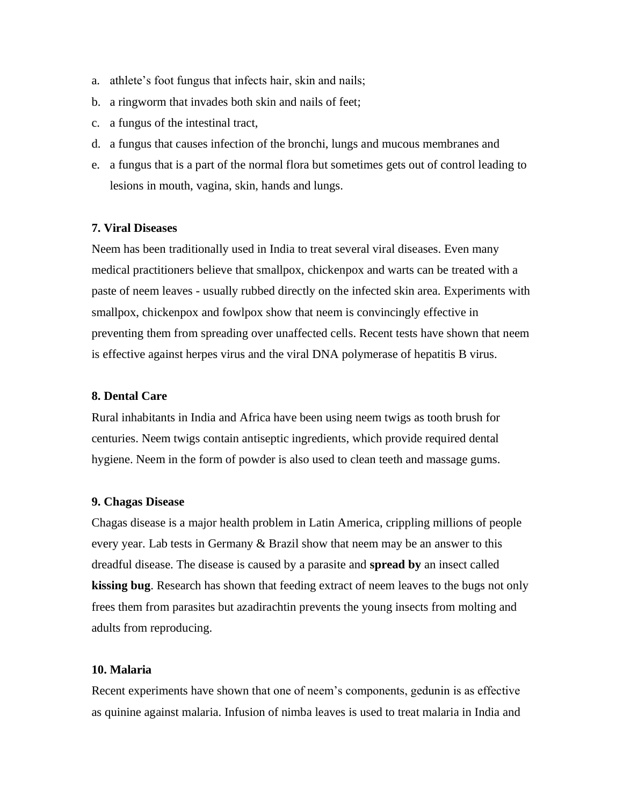- a. athlete's foot fungus that infects hair, skin and nails;
- b. a ringworm that invades both skin and nails of feet;
- c. a fungus of the intestinal tract,
- d. a fungus that causes infection of the bronchi, lungs and mucous membranes and
- e. a fungus that is a part of the normal flora but sometimes gets out of control leading to lesions in mouth, vagina, skin, hands and lungs.

#### **7. Viral Diseases**

Neem has been traditionally used in India to treat several viral diseases. Even many medical practitioners believe that smallpox, chickenpox and warts can be treated with a paste of neem leaves - usually rubbed directly on the infected skin area. Experiments with smallpox, chickenpox and fowlpox show that neem is convincingly effective in preventing them from spreading over unaffected cells. Recent tests have shown that neem is effective against herpes virus and the viral DNA polymerase of hepatitis B virus.

#### **8. Dental Care**

Rural inhabitants in India and Africa have been using neem twigs as tooth brush for centuries. Neem twigs contain antiseptic ingredients, which provide required dental hygiene. Neem in the form of powder is also used to clean teeth and massage gums.

#### **9. Chagas Disease**

Chagas disease is a major health problem in Latin America, crippling millions of people every year. Lab tests in Germany & Brazil show that neem may be an answer to this dreadful disease. The disease is caused by a parasite and **spread by** an insect called **kissing bug**. Research has shown that feeding extract of neem leaves to the bugs not only frees them from parasites but azadirachtin prevents the young insects from molting and adults from reproducing.

#### **10. Malaria**

Recent experiments have shown that one of neem's components, gedunin is as effective as quinine against malaria. Infusion of nimba leaves is used to treat malaria in India and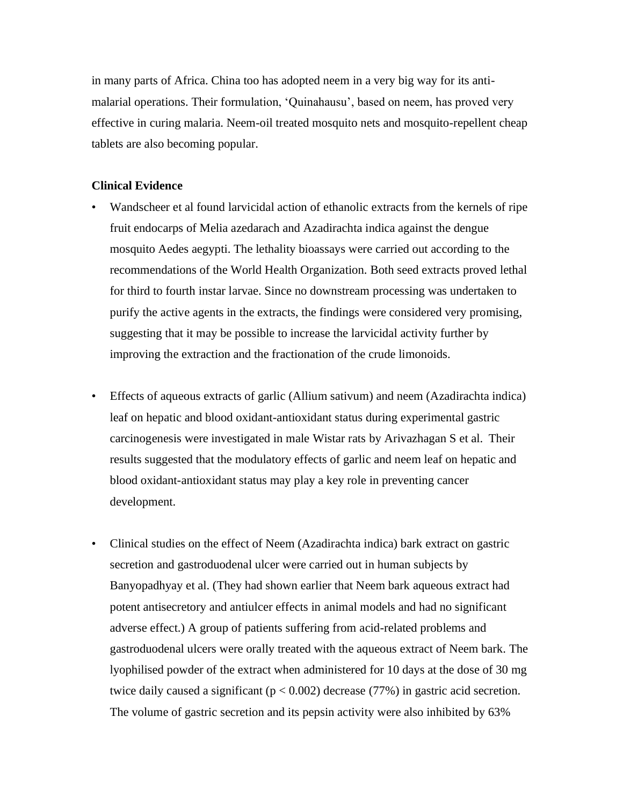in many parts of Africa. China too has adopted neem in a very big way for its antimalarial operations. Their formulation, 'Quinahausu', based on neem, has proved very effective in curing malaria. Neem-oil treated mosquito nets and mosquito-repellent cheap tablets are also becoming popular.

#### **Clinical Evidence**

- Wandscheer et al found larvicidal action of ethanolic extracts from the kernels of ripe fruit endocarps of Melia azedarach and Azadirachta indica against the dengue mosquito Aedes aegypti. The lethality bioassays were carried out according to the recommendations of the World Health Organization. Both seed extracts proved lethal for third to fourth instar larvae. Since no downstream processing was undertaken to purify the active agents in the extracts, the findings were considered very promising, suggesting that it may be possible to increase the larvicidal activity further by improving the extraction and the fractionation of the crude limonoids.
- Effects of aqueous extracts of garlic (Allium sativum) and neem (Azadirachta indica) leaf on hepatic and blood oxidant-antioxidant status during experimental gastric carcinogenesis were investigated in male Wistar rats by Arivazhagan S et al. Their results suggested that the modulatory effects of garlic and neem leaf on hepatic and blood oxidant-antioxidant status may play a key role in preventing cancer development.
- Clinical studies on the effect of Neem (Azadirachta indica) bark extract on gastric secretion and gastroduodenal ulcer were carried out in human subjects by Banyopadhyay et al. (They had shown earlier that Neem bark aqueous extract had potent antisecretory and antiulcer effects in animal models and had no significant adverse effect.) A group of patients suffering from acid-related problems and gastroduodenal ulcers were orally treated with the aqueous extract of Neem bark. The lyophilised powder of the extract when administered for 10 days at the dose of 30 mg twice daily caused a significant  $(p < 0.002)$  decrease (77%) in gastric acid secretion. The volume of gastric secretion and its pepsin activity were also inhibited by 63%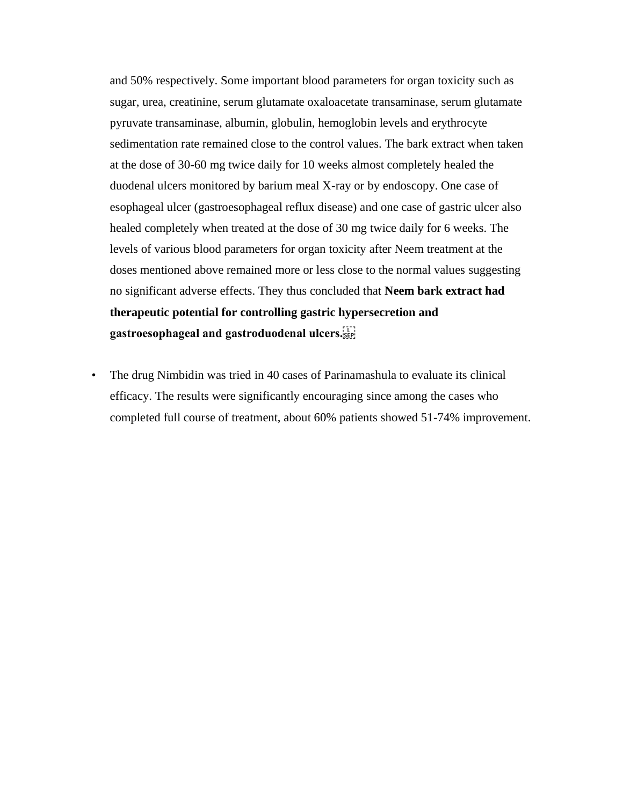and 50% respectively. Some important blood parameters for organ toxicity such as sugar, urea, creatinine, serum glutamate oxaloacetate transaminase, serum glutamate pyruvate transaminase, albumin, globulin, hemoglobin levels and erythrocyte sedimentation rate remained close to the control values. The bark extract when taken at the dose of 30-60 mg twice daily for 10 weeks almost completely healed the duodenal ulcers monitored by barium meal X-ray or by endoscopy. One case of esophageal ulcer (gastroesophageal reflux disease) and one case of gastric ulcer also healed completely when treated at the dose of 30 mg twice daily for 6 weeks. The levels of various blood parameters for organ toxicity after Neem treatment at the doses mentioned above remained more or less close to the normal values suggesting no significant adverse effects. They thus concluded that **Neem bark extract had therapeutic potential for controlling gastric hypersecretion and gastroesophageal and gastroduodenal ulcers.** 

• The drug Nimbidin was tried in 40 cases of Parinamashula to evaluate its clinical efficacy. The results were significantly encouraging since among the cases who completed full course of treatment, about 60% patients showed 51-74% improvement.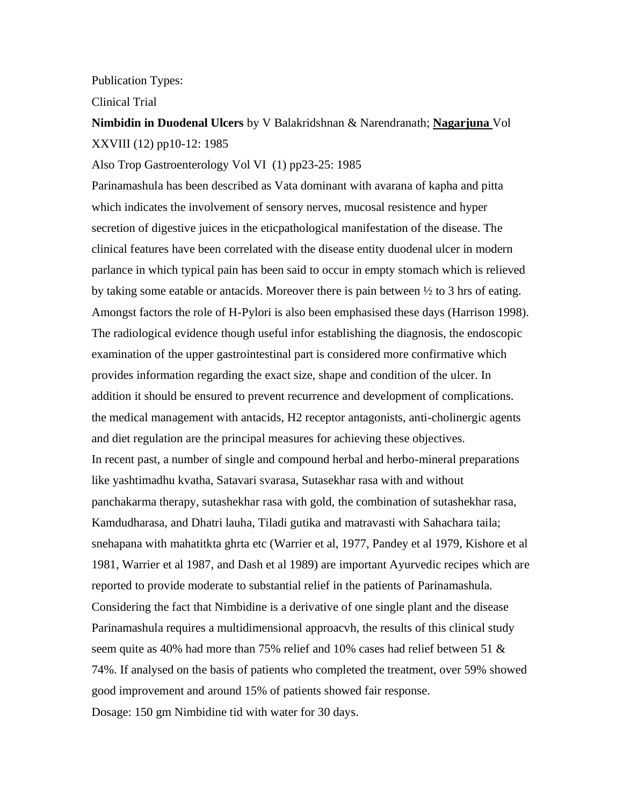Publication Types:

Clinical Trial

**Nimbidin in Duodenal Ulcers** by V Balakridshnan & Narendranath; **Nagarjuna** Vol XXVIII (12) pp10-12: 1985

Also Trop Gastroenterology Vol VI (1) pp23-25: 1985

Parinamashula has been described as Vata dominant with avarana of kapha and pitta which indicates the involvement of sensory nerves, mucosal resistence and hyper secretion of digestive juices in the eticpathological manifestation of the disease. The clinical features have been correlated with the disease entity duodenal ulcer in modern parlance in which typical pain has been said to occur in empty stomach which is relieved by taking some eatable or antacids. Moreover there is pain between  $\frac{1}{2}$  to 3 hrs of eating. Amongst factors the role of H-Pylori is also been emphasised these days (Harrison 1998). The radiological evidence though useful infor establishing the diagnosis, the endoscopic examination of the upper gastrointestinal part is considered more confirmative which provides information regarding the exact size, shape and condition of the ulcer. In addition it should be ensured to prevent recurrence and development of complications. the medical management with antacids, H2 receptor antagonists, anti-cholinergic agents and diet regulation are the principal measures for achieving these objectives. In recent past, a number of single and compound herbal and herbo-mineral preparations like yashtimadhu kvatha, Satavari svarasa, Sutasekhar rasa with and without panchakarma therapy, sutashekhar rasa with gold, the combination of sutashekhar rasa, Kamdudharasa, and Dhatri lauha, Tiladi gutika and matravasti with Sahachara taila; snehapana with mahatitkta ghrta etc (Warrier et al, 1977, Pandey et al 1979, Kishore et al 1981, Warrier et al 1987, and Dash et al 1989) are important Ayurvedic recipes which are reported to provide moderate to substantial relief in the patients of Parinamashula. Considering the fact that Nimbidine is a derivative of one single plant and the disease Parinamashula requires a multidimensional approacvh, the results of this clinical study seem quite as 40% had more than 75% relief and 10% cases had relief between 51 & 74%. If analysed on the basis of patients who completed the treatment, over 59% showed good improvement and around 15% of patients showed fair response. Dosage: 150 gm Nimbidine tid with water for 30 days.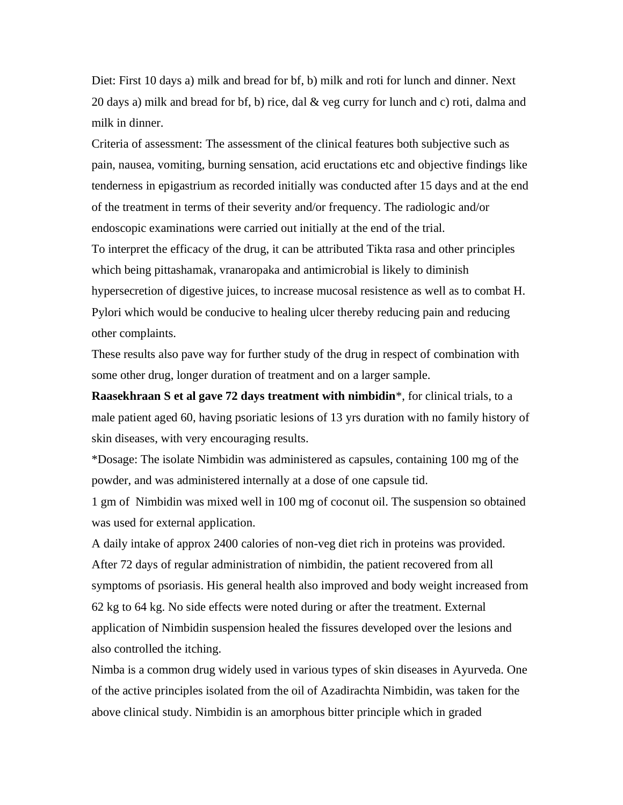Diet: First 10 days a) milk and bread for bf, b) milk and roti for lunch and dinner. Next 20 days a) milk and bread for bf, b) rice, dal & veg curry for lunch and c) roti, dalma and milk in dinner.

Criteria of assessment: The assessment of the clinical features both subjective such as pain, nausea, vomiting, burning sensation, acid eructations etc and objective findings like tenderness in epigastrium as recorded initially was conducted after 15 days and at the end of the treatment in terms of their severity and/or frequency. The radiologic and/or endoscopic examinations were carried out initially at the end of the trial. To interpret the efficacy of the drug, it can be attributed Tikta rasa and other principles which being pittashamak, vranaropaka and antimicrobial is likely to diminish hypersecretion of digestive juices, to increase mucosal resistence as well as to combat H. Pylori which would be conducive to healing ulcer thereby reducing pain and reducing other complaints.

These results also pave way for further study of the drug in respect of combination with some other drug, longer duration of treatment and on a larger sample.

**Raasekhraan S et al gave 72 days treatment with nimbidin**\*, for clinical trials, to a male patient aged 60, having psoriatic lesions of 13 yrs duration with no family history of skin diseases, with very encouraging results.

\*Dosage: The isolate Nimbidin was administered as capsules, containing 100 mg of the powder, and was administered internally at a dose of one capsule tid.

1 gm of Nimbidin was mixed well in 100 mg of coconut oil. The suspension so obtained was used for external application.

A daily intake of approx 2400 calories of non-veg diet rich in proteins was provided. After 72 days of regular administration of nimbidin, the patient recovered from all symptoms of psoriasis. His general health also improved and body weight increased from 62 kg to 64 kg. No side effects were noted during or after the treatment. External application of Nimbidin suspension healed the fissures developed over the lesions and also controlled the itching.

Nimba is a common drug widely used in various types of skin diseases in Ayurveda. One of the active principles isolated from the oil of Azadirachta Nimbidin, was taken for the above clinical study. Nimbidin is an amorphous bitter principle which in graded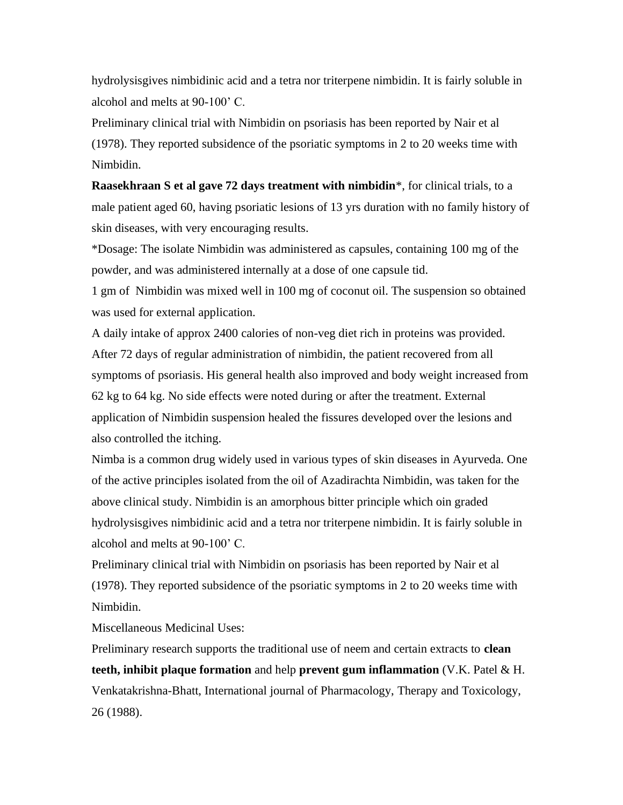hydrolysisgives nimbidinic acid and a tetra nor triterpene nimbidin. It is fairly soluble in alcohol and melts at 90-100' C.

Preliminary clinical trial with Nimbidin on psoriasis has been reported by Nair et al (1978). They reported subsidence of the psoriatic symptoms in 2 to 20 weeks time with Nimbidin.

**Raasekhraan S et al gave 72 days treatment with nimbidin**\*, for clinical trials, to a male patient aged 60, having psoriatic lesions of 13 yrs duration with no family history of skin diseases, with very encouraging results.

\*Dosage: The isolate Nimbidin was administered as capsules, containing 100 mg of the powder, and was administered internally at a dose of one capsule tid.

1 gm of Nimbidin was mixed well in 100 mg of coconut oil. The suspension so obtained was used for external application.

A daily intake of approx 2400 calories of non-veg diet rich in proteins was provided. After 72 days of regular administration of nimbidin, the patient recovered from all symptoms of psoriasis. His general health also improved and body weight increased from 62 kg to 64 kg. No side effects were noted during or after the treatment. External application of Nimbidin suspension healed the fissures developed over the lesions and also controlled the itching.

Nimba is a common drug widely used in various types of skin diseases in Ayurveda. One of the active principles isolated from the oil of Azadirachta Nimbidin, was taken for the above clinical study. Nimbidin is an amorphous bitter principle which oin graded hydrolysisgives nimbidinic acid and a tetra nor triterpene nimbidin. It is fairly soluble in alcohol and melts at 90-100' C.

Preliminary clinical trial with Nimbidin on psoriasis has been reported by Nair et al (1978). They reported subsidence of the psoriatic symptoms in 2 to 20 weeks time with Nimbidin.

Miscellaneous Medicinal Uses:

Preliminary research supports the traditional use of neem and certain extracts to **clean teeth, inhibit plaque formation** and help **prevent gum inflammation** (V.K. Patel & H. Venkatakrishna-Bhatt, International journal of Pharmacology, Therapy and Toxicology, 26 (1988).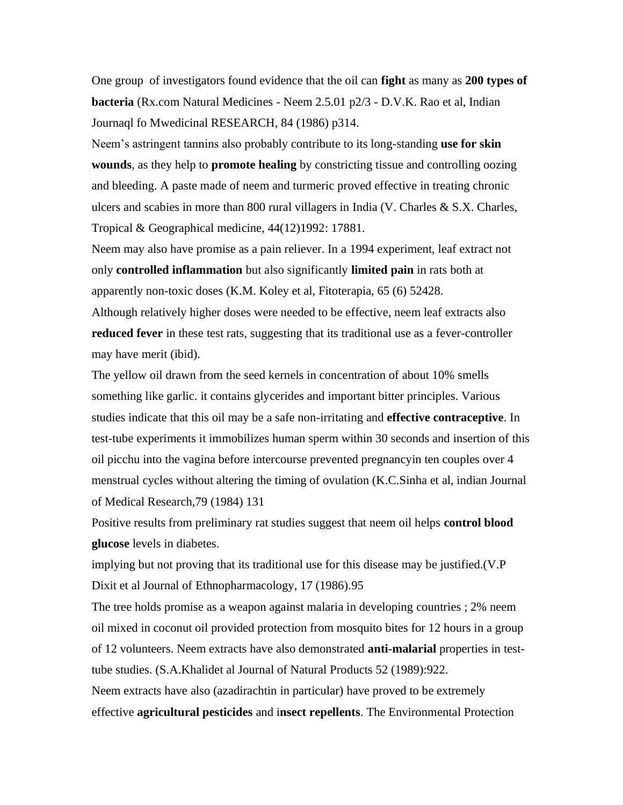One group of investigators found evidence that the oil can **fight** as many as **200 types of bacteria** (Rx.com Natural Medicines - Neem 2.5.01 p2/3 - D.V.K. Rao et al, Indian Journaql fo Mwedicinal RESEARCH, 84 (1986) p314.

Neem's astringent tannins also probably contribute to its long-standing **use for skin wounds**, as they help to **promote healing** by constricting tissue and controlling oozing and bleeding. A paste made of neem and turmeric proved effective in treating chronic ulcers and scabies in more than  $800$  rural villagers in India (V. Charles & S.X. Charles, Tropical & Geographical medicine, 44(12)1992: 17881.

Neem may also have promise as a pain reliever. In a 1994 experiment, leaf extract not only **controlled inflammation** but also significantly **limited pain** in rats both at apparently non-toxic doses (K.M. Koley et al, Fitoterapia, 65 (6) 52428.

Although relatively higher doses were needed to be effective, neem leaf extracts also **reduced fever** in these test rats, suggesting that its traditional use as a fever-controller may have merit (ibid).

The yellow oil drawn from the seed kernels in concentration of about 10% smells something like garlic. it contains glycerides and important bitter principles. Various studies indicate that this oil may be a safe non-irritating and **effective contraceptive**. In test-tube experiments it immobilizes human sperm within 30 seconds and insertion of this oil picchu into the vagina before intercourse prevented pregnancyin ten couples over 4 menstrual cycles without altering the timing of ovulation (K.C.Sinha et al, indian Journal of Medical Research,79 (1984) 131

Positive results from preliminary rat studies suggest that neem oil helps **control blood glucose** levels in diabetes.

implying but not proving that its traditional use for this disease may be justified.(V.P Dixit et al Journal of Ethnopharmacology, 17 (1986).95

The tree holds promise as a weapon against malaria in developing countries ; 2% neem oil mixed in coconut oil provided protection from mosquito bites for 12 hours in a group of 12 volunteers. Neem extracts have also demonstrated **anti-malarial** properties in testtube studies. (S.A.Khalidet al Journal of Natural Products 52 (1989):922.

Neem extracts have also (azadirachtin in particular) have proved to be extremely effective **agricultural pesticides** and i**nsect repellents**. The Environmental Protection